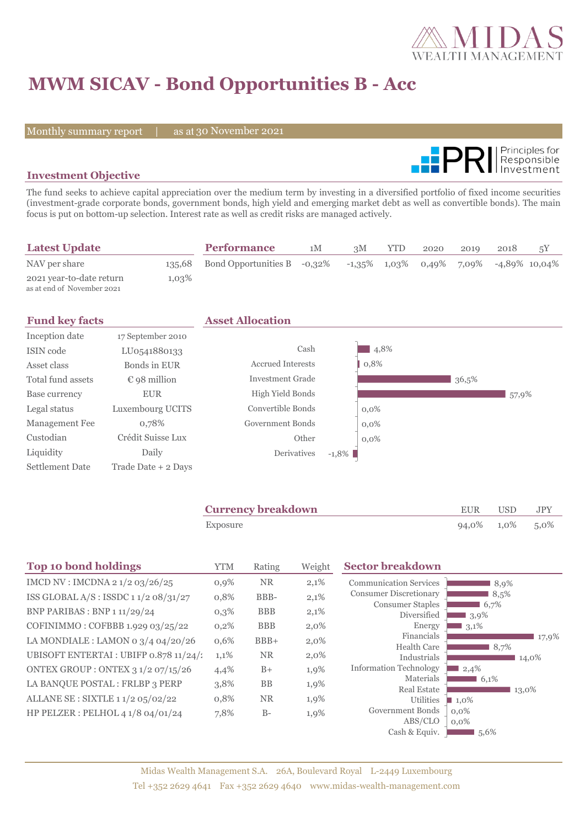

# **MWM SICAV - Bond Opportunities B - Acc**

Monthly summary report | as at 30 November 2021



### **Investment Objective**

The fund seeks to achieve capital appreciation over the medium term by investing in a diversified portfolio of fixed income securities (investment-grade corporate bonds, government bonds, high yield and emerging market debt as well as convertible bonds). The main focus is put on bottom-up selection. Interest rate as well as credit risks are managed actively.

| <b>Latest Update</b>                                   |        | <b>Performance</b>          | 1M | 3M | <b>YTD</b> | 2020 | 2019 | 2018                                                     | 5Y |
|--------------------------------------------------------|--------|-----------------------------|----|----|------------|------|------|----------------------------------------------------------|----|
| NAV per share                                          | 135,68 | Bond Opportunities B -0,32% |    |    |            |      |      | $-1,35\%$ $1,03\%$ $0,49\%$ $7,09\%$ $-4,89\%$ $10,04\%$ |    |
| 2021 year-to-date return<br>as at end of November 2021 | 1,03%  |                             |    |    |            |      |      |                                                          |    |

|                       | <b>Asset Allocation</b>  |          |         |       |       |
|-----------------------|--------------------------|----------|---------|-------|-------|
| 17 September 2010     |                          |          |         |       |       |
| LU0541880133          | Cash                     |          | 4,8%    |       |       |
| Bonds in EUR          | <b>Accrued Interests</b> |          | 0,8%    |       |       |
| $\epsilon$ 98 million | <b>Investment Grade</b>  |          |         | 36,5% |       |
| <b>EUR</b>            | High Yield Bonds         |          |         |       | 57,9% |
| Luxembourg UCITS      | Convertible Bonds        |          | $0,0\%$ |       |       |
| 0,78%                 | Government Bonds         |          | $0.0\%$ |       |       |
| Crédit Suisse Lux     | Other                    |          | $0.0\%$ |       |       |
| Daily                 | Derivatives              | $-1,8\%$ |         |       |       |
| Trade Date $+$ 2 Days |                          |          |         |       |       |
|                       |                          |          |         |       |       |

| <b>Currency breakdown</b> | EUR USD         | JPY |
|---------------------------|-----------------|-----|
| Exposure                  | 94,0% 1,0% 5,0% |     |

| <b>Top 10 bond holdings</b>            | <b>YTM</b> | Rating     | Weight  | <b>Sector breakdown</b>                |               |
|----------------------------------------|------------|------------|---------|----------------------------------------|---------------|
| IMCD NV : IMCDNA 2 1/2 03/26/25        | 0,9%       | <b>NR</b>  | 2,1%    | <b>Communication Services</b>          | 8,9%          |
| ISS GLOBAL $A/S$ : ISSDC 11/208/31/27  | 0,8%       | BBB-       | 2,1%    | <b>Consumer Discretionary</b>          | 8,5%          |
| BNP PARIBAS : BNP 1 11/29/24           | $0,3\%$    | <b>BBB</b> | 2,1%    | <b>Consumer Staples</b><br>Diversified | 6,7%<br>3,9%  |
| COFINIMMO: COFBBB 1.929 03/25/22       | 0,2%       | <b>BBB</b> | $2,0\%$ | Energy                                 | 3,1%          |
| LA MONDIALE : LAMON 0 $3/4$ 04/20/26   | 0,6%       | $BBB+$     | 2,0%    | Financials                             | 17,9%         |
| UBISOFT ENTERTAI : UBIFP 0.878 11/24/1 | 1,1%       | <b>NR</b>  | $2,0\%$ | <b>Health Care</b><br>Industrials      | 8,7%<br>14,0% |
| ONTEX GROUP : ONTEX 3 1/2 07/15/26     | 4,4%       | $B+$       | 1,9%    | <b>Information Technology</b>          | 2,4%          |
| LA BANQUE POSTAL : FRLBP 3 PERP        | 3,8%       | <b>BB</b>  | 1,9%    | Materials                              | 6,1%          |
|                                        |            |            |         | <b>Real Estate</b>                     | 13,0%         |
| ALLANE SE : SIXTLE 1 1/2 05/02/22      | 0,8%       | <b>NR</b>  | 1,9%    | Utilities                              | $1,0\%$       |
| HP PELZER : PELHOL 4 1/8 04/01/24      | 7,8%       | $B-$       | 1,9%    | Government Bonds                       | $0.0\%$       |
|                                        |            |            |         | ABS/CLO                                | $0,0\%$       |
|                                        |            |            |         | Cash & Equiv.                          | 5,6%          |